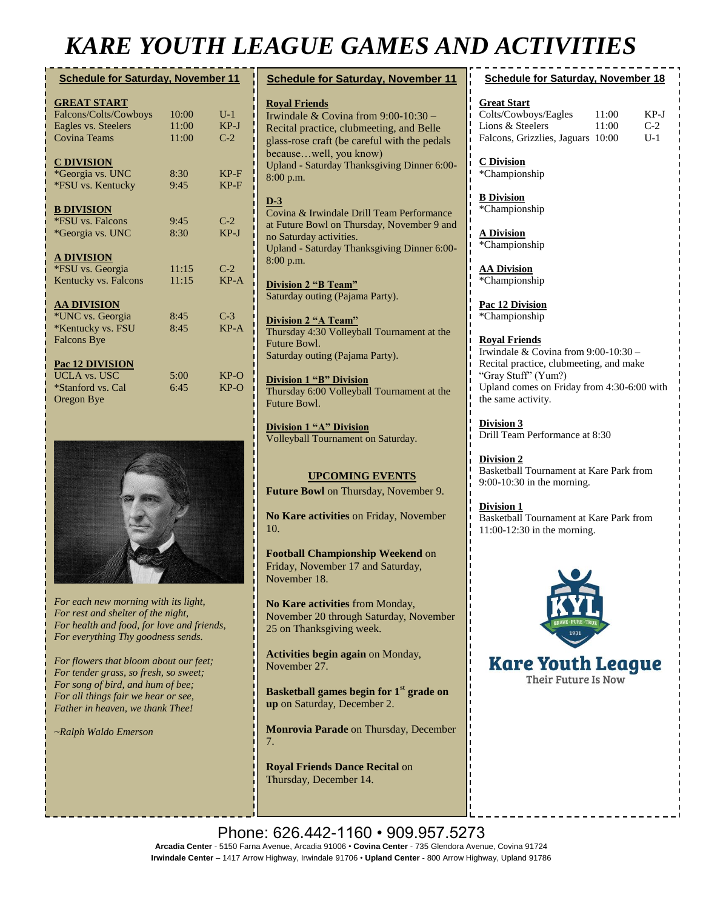## *KARE YOUTH LEAGUE GAMES AND ACTIVITIES*

**Royal Friends**

 $8:0$ 

**D-3**

n<sub>o</sub>

 $8:0$ 

| <b>Schedule for Saturday, November 11</b> |       |        |  |  |
|-------------------------------------------|-------|--------|--|--|
| <b>GREAT START</b>                        |       |        |  |  |
| Falcons/Colts/Cowboys                     | 10:00 | $U-1$  |  |  |
| Eagles vs. Steelers                       | 11:00 | $KP-J$ |  |  |
| <b>Covina Teams</b>                       | 11:00 | $C-2$  |  |  |
| <b>C DIVISION</b>                         |       |        |  |  |
| *Georgia vs. UNC                          | 8:30  | $KP-F$ |  |  |
| *FSU vs. Kentucky                         | 9:45  | $KP-F$ |  |  |
| <b>B DIVISION</b>                         |       |        |  |  |
| *FSU vs. Falcons                          | 9:45  | $C-2$  |  |  |
| *Georgia vs. UNC                          | 8:30  | $KP-J$ |  |  |
| <b>A DIVISION</b>                         |       |        |  |  |
| *FSU vs. Georgia                          | 11:15 | $C-2$  |  |  |
| Kentucky vs. Falcons                      | 11:15 | $KP-A$ |  |  |
| <b>AA DIVISION</b>                        |       |        |  |  |
| *UNC vs. Georgia                          | 8:45  | $C-3$  |  |  |
| *Kentucky vs. FSU                         | 8:45  | $KP-A$ |  |  |
| <b>Falcons Bye</b>                        |       |        |  |  |
| Pac 12 DIVISION                           |       |        |  |  |
| <b>UCLA vs. USC</b>                       | 5:00  | $KP-O$ |  |  |
| *Stanford vs. Cal                         | 6:45  | $KP-O$ |  |  |
| Oregon Bye                                |       |        |  |  |



*For each new morning with its light, For rest and shelter of the night, For health and food, for love and friends, For everything Thy goodness sends.*

*For flowers that bloom about our feet; For tender grass, so fresh, so sweet; For song of bird, and hum of bee; For all things fair we hear or see, Father in heaven, we thank Thee!*

*~Ralph Waldo Emerson*

| <i>AGUE GAMES AND AC.</i>                                                                                                                                                                                                                        |                                                                                                       |  |  |
|--------------------------------------------------------------------------------------------------------------------------------------------------------------------------------------------------------------------------------------------------|-------------------------------------------------------------------------------------------------------|--|--|
| <b>Schedule for Saturday, November 11</b>                                                                                                                                                                                                        | <b>Schedule</b>                                                                                       |  |  |
| <b>Roval Friends</b><br>Irwindale & Covina from 9:00-10:30 -<br>Recital practice, clubmeeting, and Belle<br>glass-rose craft (be careful with the pedals<br>becausewell, you know)<br>Upland - Saturday Thanksgiving Dinner 6:00-<br>$8:00$ p.m. | <b>Great Start</b><br>Colts/Cowbo<br>Lions & Stee<br>Falcons, Griz<br><b>C</b> Division<br>*Champions |  |  |
| D-3<br>Covina & Irwindale Drill Team Performance<br>at Future Bowl on Thursday, November 9 and<br>no Saturday activities.<br>Upland - Saturday Thanksgiving Dinner 6:00-<br>$8:00$ p.m.                                                          | <b>B</b> Division<br>*Champions<br><b>A Division</b><br>*Champions                                    |  |  |
|                                                                                                                                                                                                                                                  | <b>AA Division</b>                                                                                    |  |  |

**Division 2 "B Team"** Saturday outing (Pajama Party).

**Division 2 "A Team"** Thursday 4:30 Volleyball Tournament at the Future Bowl. Saturday outing (Pajama Party).

**Division 1 "B" Division** Thursday 6:00 Volleyball Tournament at the Future Bowl.

**Division 1 "A" Division** Volleyball Tournament on Saturday.

#### **UPCOMING EVENTS**

**Future Bowl** on Thursday, November 9.

**No Kare activities** on Friday, November 10.

**Football Championship Weekend** on Friday, November 17 and Saturday, November 18.

**No Kare activities** from Monday, November 20 through Saturday, November 25 on Thanksgiving week.

**Activities begin again** on Monday, November 27.

**Basketball games begin for 1st grade on up** on Saturday, December 2.

**Monrovia Parade** on Thursday, December 7.

**Royal Friends Dance Recital** on Thursday, December 14.

| <b>Schedule for Saturday, November 18</b> |       |       |
|-------------------------------------------|-------|-------|
| <b>Great Start</b>                        |       |       |
| Colts/Cowboys/Eagles                      | 11:00 | KP-I  |
| Lions & Steelers                          | 11:00 | $C-2$ |
| Falcons, Grizzlies, Jaguars 10:00         |       | U - 1 |
| <b>C</b> Division<br>*Championship        |       |       |
| <b>B</b> Division                         |       |       |

hip

hip

**AA Division** \*Championship

**Pac 12 Division** \*Championship

**Royal Friends** Irwindale & Covina from 9:00-10:30 – Recital practice, clubmeeting, and make ―Gray Stuff‖ (Yum?) Upland comes on Friday from 4:30-6:00 with the same activity.

**Division 3** Drill Team Performance at 8:30

**Division 2** Basketball Tournament at Kare Park from 9:00-10:30 in the morning.

**Division 1** Basketball Tournament at Kare Park from 11:00-12:30 in the morning.



**Kare Youth League** Their Future Is Now

Phone: 626.442-1160 · 909.957.5273 **Arcadia Center** - 5150 Farna Avenue, Arcadia 91006 • **Covina Center** - 735 Glendora Avenue, Covina 91724 **Irwindale Center** – 1417 Arrow Highway, Irwindale 91706 • **Upland Center** - 800 Arrow Highway, Upland 91786

**Breakfast with Santa** on Saturday,